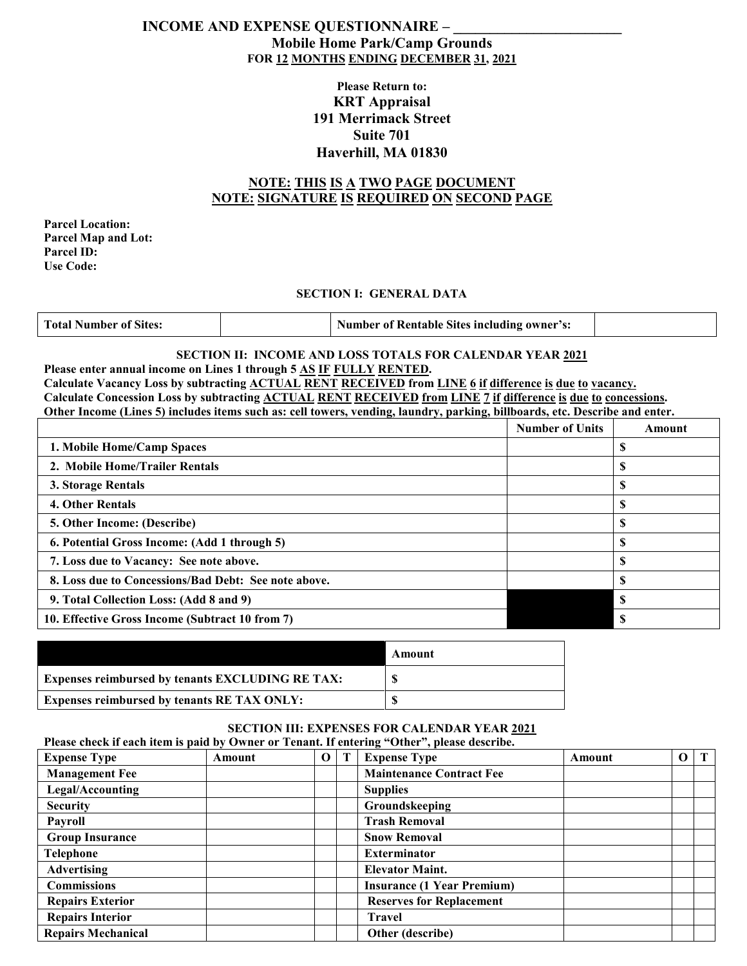# **INCOME AND EXPENSE QUESTIONNAIRE – \_\_\_\_\_\_\_\_\_\_\_\_\_\_\_\_\_\_\_\_\_\_\_ Mobile Home Park/Camp Grounds FOR 12 MONTHS ENDING DECEMBER 31, 2021**

# **Please Return to: KRT Appraisal 191 Merrimack Street Suite 701 Haverhill, MA 01830**

# **NOTE: THIS IS A TWO PAGE DOCUMENT NOTE: SIGNATURE IS REQUIRED ON SECOND PAGE**

**Parcel Location: Parcel Map and Lot: Parcel ID: Use Code:**

#### **SECTION I: GENERAL DATA**

| <b>Total Number of Sites:</b> |  | <b>Number of Rentable Sites including owner's:</b> |  |
|-------------------------------|--|----------------------------------------------------|--|
|-------------------------------|--|----------------------------------------------------|--|

#### **SECTION II: INCOME AND LOSS TOTALS FOR CALENDAR YEAR 2021 Please enter annual income on Lines 1 through 5 AS IF FULLY RENTED.**

**Calculate Vacancy Loss by subtracting ACTUAL RENT RECEIVED from LINE 6 if difference is due to vacancy. Calculate Concession Loss by subtracting ACTUAL RENT RECEIVED from LINE 7 if difference is due to concessions. Other Income (Lines 5) includes items such as: cell towers, vending, laundry, parking, billboards, etc. Describe and enter.**

|                                                      | <b>Number of Units</b> | Amount |
|------------------------------------------------------|------------------------|--------|
| 1. Mobile Home/Camp Spaces                           |                        |        |
| 2. Mobile Home/Trailer Rentals                       |                        |        |
| 3. Storage Rentals                                   |                        |        |
| 4. Other Rentals                                     |                        |        |
| 5. Other Income: (Describe)                          |                        |        |
| 6. Potential Gross Income: (Add 1 through 5)         |                        |        |
| 7. Loss due to Vacancy: See note above.              |                        |        |
| 8. Loss due to Concessions/Bad Debt: See note above. |                        |        |
| 9. Total Collection Loss: (Add 8 and 9)              |                        |        |
| 10. Effective Gross Income (Subtract 10 from 7)      |                        | -S     |

|                                                         | Amount |
|---------------------------------------------------------|--------|
| <b>Expenses reimbursed by tenants EXCLUDING RE TAX:</b> |        |
| <b>Expenses reimbursed by tenants RE TAX ONLY:</b>      |        |

### **SECTION III: EXPENSES FOR CALENDAR YEAR 2021**

|                           |        |          | Please check if each item is paid by Owner or Tenant. If entering "Other", please describe. |        |          |              |
|---------------------------|--------|----------|---------------------------------------------------------------------------------------------|--------|----------|--------------|
| <b>Expense Type</b>       | Amount | $\Omega$ | <b>Expense Type</b>                                                                         | Amount | $\Omega$ | $\mathbf{T}$ |
| <b>Management Fee</b>     |        |          | <b>Maintenance Contract Fee</b>                                                             |        |          |              |
| Legal/Accounting          |        |          | <b>Supplies</b>                                                                             |        |          |              |
| <b>Security</b>           |        |          | Groundskeeping                                                                              |        |          |              |
| <b>Payroll</b>            |        |          | <b>Trash Removal</b>                                                                        |        |          |              |
| <b>Group Insurance</b>    |        |          | <b>Snow Removal</b>                                                                         |        |          |              |
| <b>Telephone</b>          |        |          | <b>Exterminator</b>                                                                         |        |          |              |
| <b>Advertising</b>        |        |          | <b>Elevator Maint.</b>                                                                      |        |          |              |
| <b>Commissions</b>        |        |          | <b>Insurance (1 Year Premium)</b>                                                           |        |          |              |
| <b>Repairs Exterior</b>   |        |          | <b>Reserves for Replacement</b>                                                             |        |          |              |
| <b>Repairs Interior</b>   |        |          | <b>Travel</b>                                                                               |        |          |              |
| <b>Repairs Mechanical</b> |        |          | Other (describe)                                                                            |        |          |              |